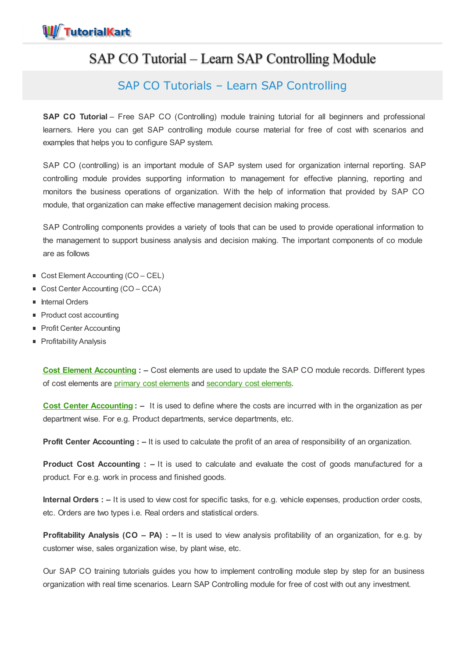

# SAP CO Tutorial – Learn SAP Controlling Module

## SAP CO Tutorials – Learn SAP Controlling

**SAP CO Tutorial** – Free SAP CO (Controlling) module training tutorial for all beginners and professional learners. Here you can get SAP controlling module course material for free of cost with scenarios and examples that helps you to configure SAP system.

SAP CO (controlling) is an important module of SAP system used for organization internal reporting. SAP controlling module provides supporting information to management for effective planning, reporting and monitors the business operations of organization. With the help of information that provided by SAP CO module, that organization can make effective management decision making process.

SAP Controlling components provides a variety of tools that can be used to provide operational information to the management to support business analysis and decision making. The important components of co module are as follows

- Cost Element Accounting (CO CEL)
- Cost Center Accounting (CO CCA)
- **Internal Orders**
- Product cost accounting
- **Profit Center Accounting**
- **Profitability Analysis**

**Cost Element [Accounting](https://www.tutorialkart.com/sap-co/what-is-cost-element-accounting-in-sap/) : –** Cost elements are used to update the SAP CO module records. Different types of cost [elements](https://www.tutorialkart.com/sap-co/how-to-create-primary-cost-elements-in-sap/) are primary cost elements and [secondary](https://www.tutorialkart.com/sap-co/create-secondary-cost-elements-in-sap/) cost elements.

**Cost Center [Accounting](https://www.tutorialkart.com/sap-co/sap-cost-center-accounting-sap-co-cca/) : –** It is used to define where the costs are incurred with in the organization as per department wise. For e.g. Product departments, service departments, etc.

**Profit Center Accounting : –** It is used to calculate the profit of an area of responsibility of an organization.

**Product Cost Accounting : –** It is used to calculate and evaluate the cost of goods manufactured for a product. For e.g. work in process and finished goods.

**Internal Orders : –** It is used to view cost for specific tasks, for e.g. vehicle expenses, production order costs, etc. Orders are two types i.e. Real orders and statistical orders.

**Profitability Analysis (CO – PA) : –** It is used to view analysis profitability of an organization, for e.g. by customer wise, sales organization wise, by plant wise, etc.

Our SAP CO training tutorials guides you how to implement controlling module step by step for an business organization with real time scenarios. Learn SAP Controlling module for free of cost with out any investment.